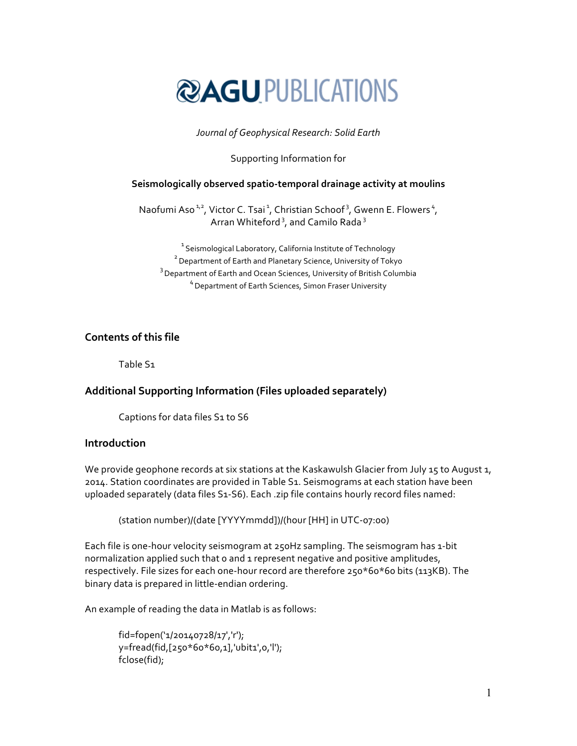

# *Journal of Geophysical Research: Solid Earth*

### Supporting Information for

### **Seismologically observed spatio-temporal drainage activity at moulins**

Naofumi Aso<sup>1,2</sup>, Victor C. Tsai<sup>1</sup>, Christian Schoof<sup>3</sup>, Gwenn E. Flowers<sup>4</sup>, Arran Whiteford<sup>3</sup>, and Camilo Rada<sup>3</sup>

 $^{\rm 1}$ Seismological Laboratory, California Institute of Technology <sup>2</sup> Department of Earth and Planetary Science, University of Tokyo  $^3$  Department of Earth and Ocean Sciences, University of British Columbia <sup>4</sup> Department of Earth Sciences, Simon Fraser University

### **Contents of this file**

Table S1

# **Additional Supporting Information (Files uploaded separately)**

Captions for data files S1 to S6

## **Introduction**

We provide geophone records at six stations at the Kaskawulsh Glacier from July 15 to August 1, 2014. Station coordinates are provided in Table S1. Seismograms at each station have been uploaded separately (data files S1-S6). Each .zip file contains hourly record files named:

(station number)/(date [YYYYmmdd])/(hour [HH] in UTC-07:00)

Each file is one-hour velocity seismogram at 250Hz sampling. The seismogram has 1-bit normalization applied such that 0 and 1 represent negative and positive amplitudes, respectively. File sizes for each one-hour record are therefore 250\*60\*60 bits (113KB). The binary data is prepared in little-endian ordering.

An example of reading the data in Matlab is as follows:

fid=fopen('1/20140728/17','r'); y=fread(fid,[250\*60\*60,1],'ubit1',0,'l'); fclose(fid);